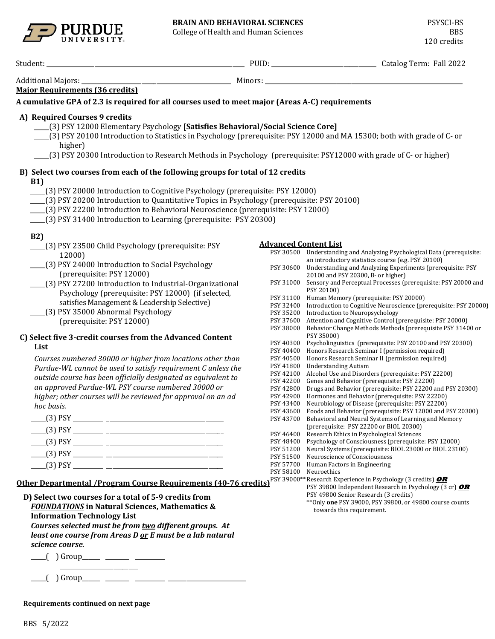

College of Health and Human Sciences



| 2022 [All 2022] . [All 2022] . [All 2022] . [All 2022] . [All 2022] . [All 2022] . [All 2022] . [All 2022] . [                                                                                                                                                                                                                                                                                                                           |                                                                                                                                                                                                 |                                                                                                                                                                                                                                                                                                                                                                                                                                                                                                                                                                                                                                                                                                                                                                                                                                                                                            |
|------------------------------------------------------------------------------------------------------------------------------------------------------------------------------------------------------------------------------------------------------------------------------------------------------------------------------------------------------------------------------------------------------------------------------------------|-------------------------------------------------------------------------------------------------------------------------------------------------------------------------------------------------|--------------------------------------------------------------------------------------------------------------------------------------------------------------------------------------------------------------------------------------------------------------------------------------------------------------------------------------------------------------------------------------------------------------------------------------------------------------------------------------------------------------------------------------------------------------------------------------------------------------------------------------------------------------------------------------------------------------------------------------------------------------------------------------------------------------------------------------------------------------------------------------------|
| Additional Majors: _                                                                                                                                                                                                                                                                                                                                                                                                                     |                                                                                                                                                                                                 |                                                                                                                                                                                                                                                                                                                                                                                                                                                                                                                                                                                                                                                                                                                                                                                                                                                                                            |
| <b>Major Requirements (36 credits)</b>                                                                                                                                                                                                                                                                                                                                                                                                   |                                                                                                                                                                                                 |                                                                                                                                                                                                                                                                                                                                                                                                                                                                                                                                                                                                                                                                                                                                                                                                                                                                                            |
| A cumulative GPA of 2.3 is required for all courses used to meet major (Areas A-C) requirements                                                                                                                                                                                                                                                                                                                                          |                                                                                                                                                                                                 |                                                                                                                                                                                                                                                                                                                                                                                                                                                                                                                                                                                                                                                                                                                                                                                                                                                                                            |
| A) Required Courses 9 credits<br>[3] PSY 12000 Elementary Psychology [Satisfies Behavioral/Social Science Core]<br>(3) PSY 20100 Introduction to Statistics in Psychology (prerequisite: PSY 12000 and MA 15300; both with grade of C- or<br>higher)<br>[3] PSY 20300 Introduction to Research Methods in Psychology (prerequisite: PSY12000 with grade of C- or higher)                                                                 |                                                                                                                                                                                                 |                                                                                                                                                                                                                                                                                                                                                                                                                                                                                                                                                                                                                                                                                                                                                                                                                                                                                            |
| B) Select two courses from each of the following groups for total of 12 credits<br><b>B1)</b><br>[3] PSY 20000 Introduction to Cognitive Psychology (prerequisite: PSY 12000)<br>(3) PSY 20200 Introduction to Quantitative Topics in Psychology (prerequisite: PSY 20100)<br>____(3) PSY 22200 Introduction to Behavioral Neuroscience (prerequisite: PSY 12000)<br>___(3) PSY 31400 Introduction to Learning (prerequisite: PSY 20300) |                                                                                                                                                                                                 |                                                                                                                                                                                                                                                                                                                                                                                                                                                                                                                                                                                                                                                                                                                                                                                                                                                                                            |
| <b>B2)</b><br>___(3) PSY 23500 Child Psychology (prerequisite: PSY<br>12000)<br>(3) PSY 24000 Introduction to Social Psychology<br>(prerequisite: PSY 12000)<br>[3] PSY 27200 Introduction to Industrial-Organizational<br>Psychology (prerequisite: PSY 12000) (if selected,<br>satisfies Management & Leadership Selective)<br>(3) PSY 35000 Abnormal Psychology<br>(prerequisite: PSY 12000)                                          | <b>Advanced Content List</b><br>PSY 30600<br>PSY 31100<br>PSY 32400<br>PSY 35200<br>PSY 37600                                                                                                   | PSY 30500 Understanding and Analyzing Psychological Data (prerequisite:<br>an introductory statistics course (e.g. PSY 20100)<br>Understanding and Analyzing Experiments (prerequisite: PSY<br>20100 and PSY 20300, B- or higher)<br>PSY 31000 Sensory and Perceptual Processes (prerequisite: PSY 20000 and<br>PSY 20100)<br>Human Memory (prerequisite: PSY 20000)<br>Introduction to Cognitive Neuroscience (prerequisite: PSY 20000)<br>Introduction to Neuropsychology<br>Attention and Cognitive Control (prerequisite: PSY 20000)                                                                                                                                                                                                                                                                                                                                                   |
| C) Select five 3-credit courses from the Advanced Content<br>List<br>Courses numbered 30000 or higher from locations other than<br>Purdue-WL cannot be used to satisfy requirement C unless the<br>outside course has been officially designated as equivalent to<br>an approved Purdue-WL PSY course numbered 30000 or<br>higher; other courses will be reviewed for approval on an ad<br>hoc basis.                                    | PSY 38000<br>PSY 40300<br>PSY 40400<br>PSY 40500<br>PSY 41800<br>PSY 42100<br>PSY 42200<br>PSY 42800<br>PSY 42900<br>PSY 43400<br>PSY 43600<br>PSY 43700<br>PSY 46400<br>PSY 48400<br>PSY 51200 | Behavior Change Methods Methods (prerequisite PSY 31400 or<br>PSY 35000)<br>Psycholinguistics (prerequisite: PSY 20100 and PSY 20300)<br>Honors Research Seminar I (permission required)<br>Honors Research Seminar II (permission required)<br><b>Understanding Autism</b><br>Alcohol Use and Disorders (prerequisite: PSY 22200)<br>Genes and Behavior (prerequisite: PSY 22200)<br>Drugs and Behavior (prerequisite: PSY 22200 and PSY 20300)<br>Hormones and Behavior (prerequisite: PSY 22200)<br>Neurobiology of Disease (prerequisite: PSY 22200)<br>Foods and Behavior (prerequisite: PSY 12000 and PSY 20300)<br>Behavioral and Neural Systems of Learning and Memory<br>(prerequisite: PSY 22200 or BIOL 20300)<br>Research Ethics in Psychological Sciences<br>Psychology of Consciousness (prerequisite: PSY 12000)<br>Neural Systems (prerequisite: BIOL 23000 or BIOL 23100) |
|                                                                                                                                                                                                                                                                                                                                                                                                                                          | PSY 51500<br>PSY 57700                                                                                                                                                                          | Neuroscience of Consciousness<br>Human Factors in Engineering                                                                                                                                                                                                                                                                                                                                                                                                                                                                                                                                                                                                                                                                                                                                                                                                                              |

PSY 58100 Neuroethics

PSY 39800 Independent Research in Psychology (3 cr) **OR**

\*\*Only **one** PSY 39000, PSY 39800, or 49800 course counts

PSY 49800 Senior Research (3 credits)

towards this requirement.

**Other Departmental /Program Course Requirements (40-76 credits)** PSY 39000\*\*Research Experience in Psychology (3 credits) **OR**

**D) Select two courses for a total of 5-9 credits from**  *FOUNDATIONS* **in Natural Sciences, Mathematics & Information Technology List** *Courses selected must be from two different groups. At least one course from Areas D or E must be a lab natural science course.*

\_\_\_\_\_( ) Group\_\_\_\_\_\_ \_\_\_\_\_\_\_\_ \_\_\_\_\_\_\_\_\_\_ \_\_\_\_\_\_\_\_\_\_\_\_\_\_\_\_\_\_\_\_\_\_\_\_\_\_

\_\_\_\_\_( ) Group\_\_\_\_\_\_ \_\_\_\_\_\_\_\_ \_\_\_\_\_\_\_\_\_\_ \_\_\_\_\_\_\_\_\_\_\_\_\_\_\_\_\_\_\_\_\_\_\_\_\_\_

**Requirements continued on next page**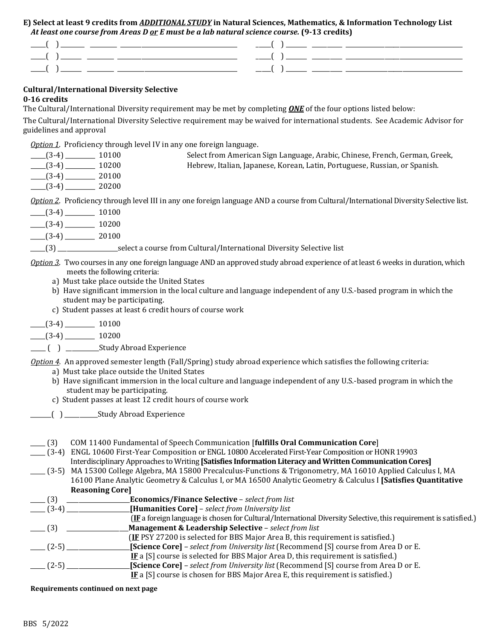## **E) Select at least 9 credits from** *ADDITIONAL STUDY* **in Natural Sciences, Mathematics, & Information Technology List**  *At least one course from Areas D or E must be a lab natural science course.* **(9-13 credits)**

| ______<br>______ |
|------------------|
| _____            |
| _____            |

# **Cultural/International Diversity Selective 0-16 credits**

The Cultural/International Diversity requirement may be met by completing *ONE* of the four options listed below:

The Cultural/International Diversity Selective requirement may be waived for international students. See Academic Advisor for guidelines and approval

*Option 1*. Proficiency through level IV in any one foreign language.

| $(3-4)$       | 10100 | Select from American Sign Language, Arabic, Chinese, French, German, Greek, |  |
|---------------|-------|-----------------------------------------------------------------------------|--|
| $-$ (3-4)     | 10200 | Hebrew, Italian, Japanese, Korean, Latin, Portuguese, Russian, or Spanish.  |  |
| $-$ (3-4) $-$ | 20100 |                                                                             |  |
| $(3-4)$       | 20200 |                                                                             |  |
|               |       |                                                                             |  |

*Option 2*. Proficiency through level III in any one foreign language AND a course from Cultural/International Diversity Selective list.

- $\frac{1}{(3-4)}$  10100
- $\frac{1}{2}$  (3-4)  $\frac{10200}{2}$
- $(3-4)$  20100

\_\_\_\_\_(3) \_\_\_\_\_\_\_\_\_\_\_\_\_\_\_\_\_\_\_\_select a course from Cultural/International Diversity Selective list

- *Option 3*. Two courses in any one foreign language AND an approved study abroad experience of at least 6 weeks in duration, which meets the following criteria:
	- a) Must take place outside the United States
	- b) Have significant immersion in the local culture and language independent of any U.S.-based program in which the student may be participating.
	- c) Student passes at least 6 credit hours of course work
- $\frac{1}{2}$  (3-4)  $\frac{10100}{2}$

 $\frac{1}{2}$  (3-4)  $\frac{10200}{2}$ 

\_\_\_\_\_ ( ) \_\_\_\_\_\_\_\_\_\_\_Study Abroad Experience

*Option 4.* An approved semester length (Fall/Spring) study abroad experience which satisfies the following criteria:

- a) Must take place outside the United States
- b) Have significant immersion in the local culture and language independent of any U.S.-based program in which the student may be participating.
- c) Student passes at least 12 credit hours of course work
- \_\_\_\_\_\_\_( ) \_\_\_\_\_\_\_\_\_\_\_Study Abroad Experience
- \_\_\_\_\_ (3) COM 11400 Fundamental of Speech Communication [**fulfills Oral Communication Core**]
- \_\_\_\_\_ (3-4) ENGL 10600 First-Year Composition or ENGL 10800 Accelerated First-Year Composition or HONR 19903 Interdisciplinary Approaches to Writing **[Satisfies Information Literacy and Written Communication Cores]**
- \_\_\_\_\_ (3-5) MA 15300 College Algebra, MA 15800 Precalculus-Functions & Trigonometry, MA 16010 Applied Calculus I, MA 16100 Plane Analytic Geometry & Calculus I, or MA 16500 Analytic Geometry & Calculus I **[Satisfies Quantitative Reasoning Core]**



**Requirements continued on next page**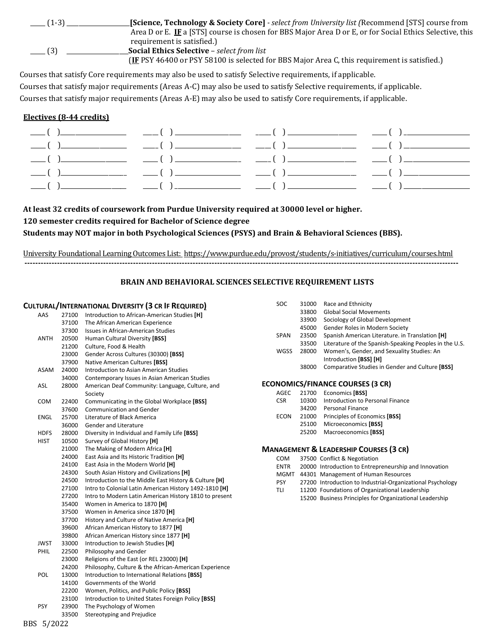| $-$ (1-3).   | <b>[Science, Technology &amp; Society Core]</b> - select from University list (Recommend [STS] course from |
|--------------|------------------------------------------------------------------------------------------------------------|
|              | Area D or E. IF a [STS] course is chosen for BBS Major Area D or E, or for Social Ethics Selective, this   |
|              | requirement is satisfied.)                                                                                 |
| $\equiv$ (3) | <b>Social Ethics Selective - select from list</b>                                                          |
|              | (IF PSY 46400 or PSY 58100 is selected for BBS Major Area C, this requirement is satisfied.)               |

Courses that satisfy Core requirements may also be used to satisfy Selective requirements, if applicable. Courses that satisfy major requirements (Areas A-C) may also be used to satisfy Selective requirements, if applicable. Courses that satisfy major requirements (Areas A-E) may also be used to satisfy Core requirements, if applicable.

## **Electives (8-44 credits)**

**At least 32 credits of coursework from Purdue University required at 30000 level or higher.** 

# **120 semester credits required for Bachelor of Science degree**

**Students may NOT major in both Psychological Sciences (PSYS) and Brain & Behavioral Sciences (BBS).**

University Foundational Learning Outcomes List:<https://www.purdue.edu/provost/students/s-initiatives/curriculum/courses.html> **----------------------------------------------------------------------------------------------------------------------------------------------------------------**

# **BRAIN AND BEHAVIORAL SCIENCES SELECTIVE REQUIREMENT LISTS**

|             |       | <b>CULTURAL/INTERNATIONAL DIVERSITY (3 CR IF REQUIRED)</b> | SOC         | 31000 | Race and Ethnicity                                         |
|-------------|-------|------------------------------------------------------------|-------------|-------|------------------------------------------------------------|
| AAS         |       | 27100 Introduction to African-American Studies [H]         |             | 33800 | <b>Global Social Movements</b>                             |
|             | 37100 | The African American Experience                            |             | 33900 | Sociology of Global Development                            |
|             | 37300 | Issues in African-American Studies                         |             | 45000 | Gender Roles in Modern Society                             |
| ANTH        | 20500 | Human Cultural Diversity [BSS]                             | <b>SPAN</b> | 23500 | Spanish American Literature. in Translation [H]            |
|             | 21200 | Culture, Food & Health                                     |             | 33500 | Literature of the Spanish-Speaking Peoples in the U.S.     |
|             | 23000 | Gender Across Cultures (30300) [BSS]                       | WGSS        | 28000 | Women's, Gender, and Sexuality Studies: An                 |
|             | 37900 | Native American Cultures [BSS]                             |             |       | Introduction [BSS] [H]                                     |
| ASAM        | 24000 | Introduction to Asian American Studies                     |             | 38000 | Comparative Studies in Gender and Culture [BSS]            |
|             | 34000 | Contemporary Issues in Asian American Studies              |             |       |                                                            |
| ASL         | 28000 | American Deaf Community: Language, Culture, and            |             |       | <b>ECONOMICS/FINANCE COURSES (3 CR)</b>                    |
|             |       | Society                                                    | AGEC        | 21700 | Economics [BSS]                                            |
| <b>COM</b>  | 22400 | Communicating in the Global Workplace [BSS]                | <b>CSR</b>  | 10300 | Introduction to Personal Finance                           |
|             | 37600 | <b>Communication and Gender</b>                            |             | 34200 | <b>Personal Finance</b>                                    |
| <b>ENGL</b> | 25700 | Literature of Black America                                | <b>ECON</b> | 21000 | Principles of Economics [BSS]                              |
|             | 36000 | Gender and Literature                                      |             | 25100 | Microeconomics [BSS]                                       |
| <b>HDFS</b> | 28000 | Diversity in Individual and Family Life [BSS]              |             | 25200 | Macroeconomics [BSS]                                       |
| <b>HIST</b> | 10500 | Survey of Global History [H]                               |             |       |                                                            |
|             | 21000 | The Making of Modern Africa [H]                            |             |       | <b>MANAGEMENT &amp; LEADERSHIP COURSES (3 CR)</b>          |
|             | 24000 | East Asia and Its Historic Tradition [H]                   | COM         |       | 37500 Conflict & Negotiation                               |
|             | 24100 | East Asia in the Modern World [H]                          | <b>ENTR</b> |       | 20000 Introduction to Entrepreneurship and Innovation      |
|             | 24300 | South Asian History and Civilizations [H]                  |             |       | MGMT 44301 Management of Human Resources                   |
|             | 24500 | Introduction to the Middle East History & Culture [H]      | PSY         |       | 27200 Introduction to Industrial-Organizational Psychology |
|             | 27100 | Intro to Colonial Latin American History 1492-1810 [H]     | TLI         |       | 11200 Foundations of Organizational Leadership             |
|             | 27200 | Intro to Modern Latin American History 1810 to present     |             |       | 15200 Business Principles for Organizational Leadership    |
|             | 35400 | Women in America to 1870 [H]                               |             |       |                                                            |
|             | 37500 | Women in America since 1870 [H]                            |             |       |                                                            |
|             | 37700 | History and Culture of Native America [H]                  |             |       |                                                            |
|             | 39600 | African American History to 1877 [H]                       |             |       |                                                            |
|             | 39800 | African American History since 1877 [H]                    |             |       |                                                            |
| <b>JWST</b> | 33000 | Introduction to Jewish Studies [H]                         |             |       |                                                            |
| PHIL        | 22500 | Philosophy and Gender                                      |             |       |                                                            |
|             | 23000 | Religions of the East (or REL 23000) [H]                   |             |       |                                                            |
|             | 24200 | Philosophy, Culture & the African-American Experience      |             |       |                                                            |
| POL         | 13000 | Introduction to International Relations [BSS]              |             |       |                                                            |
|             | 14100 | Governments of the World                                   |             |       |                                                            |
|             | 22200 | Women, Politics, and Public Policy [BSS]                   |             |       |                                                            |
|             | 23100 | Introduction to United States Foreign Policy [BSS]         |             |       |                                                            |
| <b>PSY</b>  | 23900 | The Psychology of Women                                    |             |       |                                                            |
|             | 33500 | Stereotyping and Prejudice                                 |             |       |                                                            |
| BBS 5/2022  |       |                                                            |             |       |                                                            |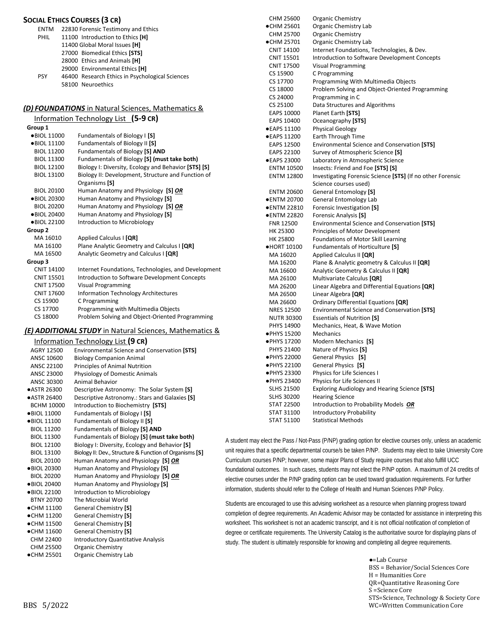#### **SOCIAL ETHICS COURSES (3 CR)**

| <b>ENTM</b> | 22830 Forensic Testimony and Ethics             |
|-------------|-------------------------------------------------|
| <b>PHIL</b> | 11100 Introduction to Ethics [H]                |
|             | 11400 Global Moral Issues [H]                   |
|             | 27000 Biomedical Ethics [STS]                   |
|             | 28000 Ethics and Animals [H]                    |
|             | 29000 Environmental Ethics [H]                  |
| <b>PSY</b>  | 46400 Research Ethics in Psychological Sciences |
|             | 58100 Neuroethics                               |

#### *(D) FOUNDATIONS* in Natural Sciences, Mathematics &

| Information Technology List (5-9 CR) |                                                      |  |  |
|--------------------------------------|------------------------------------------------------|--|--|
| Group 1                              |                                                      |  |  |
| ●BIOL 11000                          | Fundamentals of Biology I [S]                        |  |  |
| ●BIOL 11100                          | Fundamentals of Biology II [S]                       |  |  |
| <b>BIOL 11200</b>                    | Fundamentals of Biology [S] AND                      |  |  |
| <b>BIOL 11300</b>                    | Fundamentals of Biology [S] (must take both)         |  |  |
| <b>BIOL 12100</b>                    | Biology I: Diversity, Ecology and Behavior [STS] [S] |  |  |
| <b>BIOL 13100</b>                    | Biology II: Development, Structure and Function of   |  |  |
|                                      | Organisms [S]                                        |  |  |
| <b>BIOL 20100</b>                    | Human Anatomy and Physiology [S] OR                  |  |  |
| ●BIOL 20300                          | Human Anatomy and Physiology [S]                     |  |  |
| <b>BIOL 20200</b>                    | Human Anatomy and Physiology [S] OR                  |  |  |
| ●BIOL 20400                          | Human Anatomy and Physiology [S]                     |  |  |
| ●BIOL 22100                          | Introduction to Microbiology                         |  |  |
| Group <sub>2</sub>                   |                                                      |  |  |
| MA 16010                             | Applied Calculus I [QR]                              |  |  |
| MA 16100                             | Plane Analytic Geometry and Calculus I [QR]          |  |  |
| MA 16500                             | Analytic Geometry and Calculus I [QR]                |  |  |
| Group 3                              |                                                      |  |  |
| <b>CNIT 14100</b>                    | Internet Foundations, Technologies, and Development  |  |  |
| <b>CNIT 15501</b>                    | Introduction to Software Development Concepts        |  |  |
| <b>CNIT 17500</b>                    | <b>Visual Programming</b>                            |  |  |
| <b>CNIT 17600</b>                    | <b>Information Technology Architectures</b>          |  |  |
| CS 15900                             | C Programming                                        |  |  |
| CS 17700                             | Programming with Multimedia Objects                  |  |  |
| CS 18000                             | Problem Solving and Object-Oriented Programming      |  |  |
|                                      |                                                      |  |  |

# *(E) ADDITIONAL STUDY* in Natural Sciences, Mathematics &

|                      | <b>Information Technology List (9 CR)</b>               |
|----------------------|---------------------------------------------------------|
| AGRY 12500           | <b>Environmental Science and Conservation [STS]</b>     |
| ANSC 10600           | <b>Biology Companion Animal</b>                         |
| ANSC 22100           | Principles of Animal Nutrition                          |
| ANSC 23000           | Physiology of Domestic Animals                          |
| ANSC 30300           | Animal Behavior                                         |
| <b>ASTR 26300</b>    | Descriptive Astronomy: The Solar System [S]             |
| ●ASTR 26400          | Descriptive Astronomy.: Stars and Galaxies [S]          |
| <b>BCHM 10000</b>    | Introduction to Biochemistry [STS]                      |
| $\bullet$ BIOL 11000 | Fundamentals of Biology I [S]                           |
| ●BIOL 11100          | Fundamentals of Biology II [S]                          |
| <b>BIOL 11200</b>    | Fundamentals of Biology [S] AND                         |
| <b>BIOL 11300</b>    | Fundamentals of Biology [S] (must take both)            |
| <b>BIOL 12100</b>    | Biology I: Diversity, Ecology and Behavior [S]          |
| <b>BIOL 13100</b>    | Biology II: Dev., Structure & Function of Organisms [S] |
| <b>BIOL 20100</b>    | Human Anatomy and Physiology [S] OR                     |
| ●BIOL 20300          | Human Anatomy and Physiology [S]                        |
| <b>BIOL 20200</b>    | Human Anatomy and Physiology [S] OR                     |
| ●BIOL 20400          | Human Anatomy and Physiology [S]                        |
| •BIOL 22100          | Introduction to Microbiology                            |
| <b>BTNY 20700</b>    | The Microbial World                                     |
| $\bullet$ CHM 11100  | <b>General Chemistry [S]</b>                            |
| $\bullet$ CHM 11200  | <b>General Chemistry [S]</b>                            |
| $\bullet$ CHM 11500  | <b>General Chemistry [S]</b>                            |
| $\bullet$ CHM 11600  | <b>General Chemistry [S]</b>                            |
| CHM 22400            | <b>Introductory Quantitative Analysis</b>               |
| CHM 25500            | <b>Organic Chemistry</b>                                |
| •CHM 25501           | Organic Chemistry Lab                                   |

| CHM 25600         | Organic Chemistry                                          |
|-------------------|------------------------------------------------------------|
| ●CHM 25601        | Organic Chemistry Lab                                      |
| CHM 25700         | Organic Chemistry                                          |
| ●CHM 25701        | Organic Chemistry Lab                                      |
| <b>CNIT 14100</b> | Internet Foundations, Technologies, & Dev.                 |
| <b>CNIT 15501</b> | Introduction to Software Development Concepts              |
| <b>CNIT 17500</b> | <b>Visual Programming</b>                                  |
| CS 15900          | C Programming                                              |
| CS 17700          | Programming With Multimedia Objects                        |
| CS 18000          | Problem Solving and Object-Oriented Programming            |
| CS 24000          | Programming in C                                           |
| CS 25100          | Data Structures and Algorithms                             |
| EAPS 10000        | Planet Earth [STS]                                         |
| EAPS 10400        | Oceanography [STS]                                         |
| ●EAPS 11100       | <b>Physical Geology</b>                                    |
| ●EAPS 11200       | <b>Earth Through Time</b>                                  |
| EAPS 12500        | <b>Environmental Science and Conservation [STS]</b>        |
| EAPS 22100        | Survey of Atmospheric Science [S]                          |
| ●EAPS 23000       | Laboratory in Atmospheric Science                          |
| <b>ENTM 10500</b> | Insects: Friend and Foe [STS] [S]                          |
| <b>ENTM 12800</b> | Investigating Forensic Science [STS] (If no other Forensic |
|                   | Science courses used)                                      |
| <b>ENTM 20600</b> | <b>General Entomology [S]</b>                              |
| ● ENTM 20700      | <b>General Entomology Lab</b>                              |
| ● ENTM 22810      | Forensic Investigation [S]                                 |
| ● ENTM 22820      | Forensic Analysis [S]                                      |
| FNR 12500         | <b>Environmental Science and Conservation [STS]</b>        |
| HK 25300          | Principles of Motor Development                            |
| HK 25800          | Foundations of Motor Skill Learning                        |
| •HORT 10100       | Fundamentals of Horticulture [S]                           |
| MA 16020          | Applied Calculus II [QR]                                   |
| MA 16200          | Plane & Analytic geometry & Calculus II [QR]               |
| MA 16600          | Analytic Geometry & Calculus II [QR]                       |
| MA 26100          | Multivariate Calculus [QR]                                 |
| MA 26200          | Linear Algebra and Differential Equations [QR]             |
| MA 26500          | Linear Algebra [QR]                                        |
| MA 26600          | Ordinary Differential Equations [QR]                       |
| <b>NRES 12500</b> | <b>Environmental Science and Conservation [STS]</b>        |
| <b>NUTR 30300</b> | <b>Essentials of Nutrition [S]</b>                         |
| PHYS 14900        | Mechanics, Heat, & Wave Motion                             |
| · PHYS 15200      | Mechanics                                                  |
| · PHYS 17200      | Modern Mechanics [S]                                       |
| PHYS 21400        | Nature of Physics [S]                                      |
| ● PHYS 22000      | General Physics [S]                                        |
| ·PHYS 22100       | General Physics [S]                                        |
| ● PHYS 23300      | Physics for Life Sciences I                                |
| ● PHYS 23400      | Physics for Life Sciences II                               |
| <b>SLHS 21500</b> | <b>Exploring Audiology and Hearing Science [STS]</b>       |
| <b>SLHS 30200</b> | <b>Hearing Science</b>                                     |
| <b>STAT 22500</b> | Introduction to Probability Models OR                      |
| STAT 31100        | <b>Introductory Probability</b>                            |
| <b>STAT 51100</b> | <b>Statistical Methods</b>                                 |
|                   |                                                            |

A student may elect the Pass / Not-Pass (P/NP) grading option for elective courses only, unless an academic unit requires that a specific departmental course/s be taken P/NP. Students may elect to take University Core Curriculum courses P/NP; however, some major Plans of Study require courses that also fulfill UCC foundational outcomes. In such cases, students may not elect the P/NP option. A maximum of 24 credits of elective courses under the P/NP grading option can be used toward graduation requirements. For further information, students should refer to the College of Health and Human Sciences P/NP Policy.

Students are encouraged to use this advising worksheet as a resource when planning progress toward completion of degree requirements. An Academic Advisor may be contacted for assistance in interpreting this worksheet. This worksheet is not an academic transcript, and it is not official notification of completion of degree or certificate requirements. The University Catalog is the authoritative source for displaying plans of study. The student is ultimately responsible for knowing and completing all degree requirements.

> ●=Lab Course BSS = Behavior/Social Sciences Core H = Humanities Core QR=Quantitative Reasoning Core S =Science Core STS=Science, Technology & Society Core WC=Written Communication Core